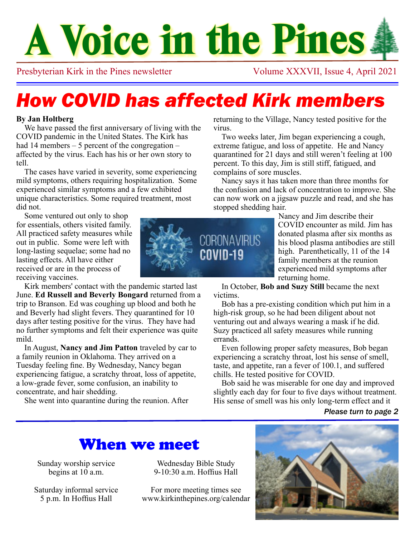# **A Voice in the Pines**

Presbyterian Kirk in the Pines newsletter Volume XXXVII, Issue 4, April 2021

# *How COVID has affected Kirk members*

#### **By Jan Holtberg**

We have passed the first anniversary of living with the COVID pandemic in the United States. The Kirk has had 14 members – 5 percent of the congregation – affected by the virus. Each has his or her own story to tell.

The cases have varied in severity, some experiencing mild symptoms, others requiring hospitalization. Some experienced similar symptoms and a few exhibited unique characteristics. Some required treatment, most did not.

Some ventured out only to shop for essentials, others visited family. All practiced safety measures while out in public. Some were left with long-lasting sequelae; some had no lasting effects. All have either received or are in the process of receiving vaccines.

Kirk members' contact with the pandemic started last June. **Ed Russell and Beverly Bongard** returned from a trip to Branson. Ed was coughing up blood and both he and Beverly had slight fevers. They quarantined for 10 days after testing positive for the virus. They have had no further symptoms and felt their experience was quite mild.

In August, **Nancy and Jim Patton** traveled by car to a family reunion in Oklahoma. They arrived on a Tuesday feeling fine. By Wednesday, Nancy began experiencing fatigue, a scratchy throat, loss of appetite, a low-grade fever, some confusion, an inability to concentrate, and hair shedding.

She went into quarantine during the reunion. After

returning to the Village, Nancy tested positive for the virus.

Two weeks later, Jim began experiencing a cough, extreme fatigue, and loss of appetite. He and Nancy quarantined for 21 days and still weren't feeling at 100 percent. To this day, Jim is still stiff, fatigued, and complains of sore muscles.

Nancy says it has taken more than three months for the confusion and lack of concentration to improve. She can now work on a jigsaw puzzle and read, and she has stopped shedding hair.

Nancy and Jim describe their COVID encounter as mild. Jim has donated plasma after six months as his blood plasma antibodies are still high. Parenthetically, 11 of the 14 family members at the reunion experienced mild symptoms after returning home.

In October, **Bob and Suzy Still** became the next victims.

Bob has a pre-existing condition which put him in a high-risk group, so he had been diligent about not venturing out and always wearing a mask if he did. Suzy practiced all safety measures while running errands.

Even following proper safety measures, Bob began experiencing a scratchy throat, lost his sense of smell, taste, and appetite, ran a fever of 100.1, and suffered chills. He tested positive for COVID.

Bob said he was miserable for one day and improved slightly each day for four to five days without treatment. His sense of smell was his only long-term effect and it

#### *Please turn to page 2*

### When we meet

Sunday worship service begins at 10 a.m.

Saturday informal service 5 p.m. In Hoffius Hall

Wednesday Bible Study  $9-10.30$  a.m. Hoffius Hall

For more meeting times see www.kirkinthepines.org/calendar



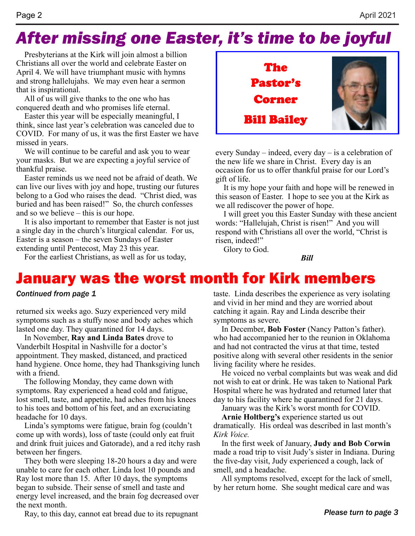# *After missing one Easter, it's time to be joyful*

Presbyterians at the Kirk will join almost a billion Christians all over the world and celebrate Easter on April 4. We will have triumphant music with hymns and strong hallelujahs. We may even hear a sermon that is inspirational.

All of us will give thanks to the one who has conquered death and who promises life eternal.

Easter this year will be especially meaningful, I think, since last year's celebration was canceled due to COVID. For many of us, it was the first Easter we have missed in years.

We will continue to be careful and ask you to wear your masks. But we are expecting a joyful service of thankful praise.

Easter reminds us we need not be afraid of death. We can live our lives with joy and hope, trusting our futures belong to a God who raises the dead. "Christ died, was buried and has been raised!" So, the church confesses and so we believe – this is our hope.

It is also important to remember that Easter is not just a single day in the church's liturgical calendar. For us, Easter is a season – the seven Sundays of Easter extending until Pentecost, May 23 this year.

For the earliest Christians, as well as for us today,



every Sunday – indeed, every day – is a celebration of the new life we share in Christ. Every day is an occasion for us to offer thankful praise for our Lord's gift of life.

It is my hope your faith and hope will be renewed in this season of Easter. I hope to see you at the Kirk as we all rediscover the power of hope.

I will greet you this Easter Sunday with these ancient words: "Hallelujah, Christ is risen!" And you will respond with Christians all over the world, "Christ is risen, indeed!"

*Bill*

Glory to God.

### January was the worst month for Kirk members

#### *Continued from page 1*

returned six weeks ago. Suzy experienced very mild symptoms such as a stuffy nose and body aches which lasted one day. They quarantined for 14 days.

In November, **Ray and Linda Bates** drove to Vanderbilt Hospital in Nashville for a doctor's appointment. They masked, distanced, and practiced hand hygiene. Once home, they had Thanksgiving lunch with a friend.

The following Monday, they came down with symptoms. Ray experienced a head cold and fatigue, lost smell, taste, and appetite, had aches from his knees to his toes and bottom of his feet, and an excruciating headache for 10 days.

Linda's symptoms were fatigue, brain fog (couldn't come up with words), loss of taste (could only eat fruit and drink fruit juices and Gatorade), and a red itchy rash between her fingers.

They both were sleeping 18-20 hours a day and were unable to care for each other. Linda lost 10 pounds and Ray lost more than 15. After 10 days, the symptoms began to subside. Their sense of smell and taste and energy level increased, and the brain fog decreased over the next month.

Ray, to this day, cannot eat bread due to its repugnant

taste. Linda describes the experience as very isolating and vivid in her mind and they are worried about catching it again. Ray and Linda describe their symptoms as severe.

In December, **Bob Foster** (Nancy Patton's father). who had accompanied her to the reunion in Oklahoma and had not contracted the virus at that time, tested positive along with several other residents in the senior living facility where he resides.

He voiced no verbal complaints but was weak and did not wish to eat or drink. He was taken to National Park Hospital where he was hydrated and returned later that day to his facility where he quarantined for 21 days.

January was the Kirk's worst month for COVID.

**Arnie Holtberg's** experience started us out dramatically. His ordeal was described in last month's *Kirk Voice.*

In the first week of January, **Judy and Bob Corwin** made a road trip to visit Judy's sister in Indiana. During the five-day visit, Judy experienced a cough, lack of smell, and a headache.

All symptoms resolved, except for the lack of smell, by her return home. She sought medical care and was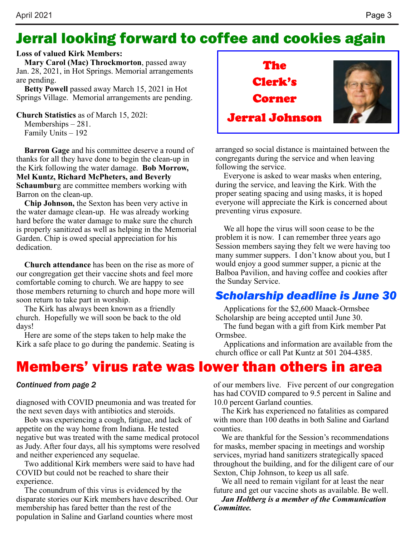### Jerral looking forward to coffee and cookies again

#### **Loss of valued Kirk Members:**

**Mary Carol (Mac) Throckmorton**, passed away Jan. 28, 2021, in Hot Springs. Memorial arrangements are pending.

**Betty Powell** passed away March 15, 2021 in Hot Springs Village. Memorial arrangements are pending.

**Church Statistics** as of March 15, 202l: Memberships – 281.

Family Units – 192

**Barron Gage** and his committee deserve a round of thanks for all they have done to begin the clean-up in the Kirk following the water damage. **Bob Morrow, Mel Kuntz, Richard McPheters, and Beverly Schaumbur**g are committee members working with Barron on the clean-up.

**Chip Johnson,** the Sexton has been very active in the water damage clean-up. He was already working hard before the water damage to make sure the church is properly sanitized as well as helping in the Memorial Garden. Chip is owed special appreciation for his dedication.

**Church attendance** has been on the rise as more of our congregation get their vaccine shots and feel more comfortable coming to church. We are happy to see those members returning to church and hope more will soon return to take part in worship.

The Kirk has always been known as a friendly church. Hopefully we will soon be back to the old days!

Here are some of the steps taken to help make the Kirk a safe place to go during the pandemic. Seating is

# Jerral Johnson The Clerk's Corner

arranged so social distance is maintained between the congregants during the service and when leaving following the service.

Everyone is asked to wear masks when entering, during the service, and leaving the Kirk. With the proper seating spacing and using masks, it is hoped everyone will appreciate the Kirk is concerned about preventing virus exposure.

We all hope the virus will soon cease to be the problem it is now. I can remember three years ago Session members saying they felt we were having too many summer suppers. I don't know about you, but I would enjoy a good summer supper, a picnic at the Balboa Pavilion, and having coffee and cookies after the Sunday Service.

### *Scholarship deadline is June 30*

Applications for the \$2,600 Maack-Ormsbee Scholarship are being accepted until June 30.

The fund began with a gift from Kirk member Pat Ormsbee.

Applications and information are available from the church office or call Pat Kuntz at 501 204-4385.

### Members' virus rate was lower than others in area

#### *Continued from page 2*

diagnosed with COVID pneumonia and was treated for the next seven days with antibiotics and steroids.

Bob was experiencing a cough, fatigue, and lack of appetite on the way home from Indiana. He tested negative but was treated with the same medical protocol as Judy. After four days, all his symptoms were resolved and neither experienced any sequelae.

Two additional Kirk members were said to have had COVID but could not be reached to share their experience.

The conundrum of this virus is evidenced by the disparate stories our Kirk members have described. Our membership has fared better than the rest of the population in Saline and Garland counties where most

of our members live. Five percent of our congregation has had COVID compared to 9.5 percent in Saline and 10.0 percent Garland counties.

The Kirk has experienced no fatalities as compared with more than 100 deaths in both Saline and Garland counties.

We are thankful for the Session's recommendations for masks, member spacing in meetings and worship services, myriad hand sanitizers strategically spaced throughout the building, and for the diligent care of our Sexton, Chip Johnson, to keep us all safe.

We all need to remain vigilant for at least the near future and get our vaccine shots as available. Be well.

*Jan Holtberg is a member of the Communication Committee.*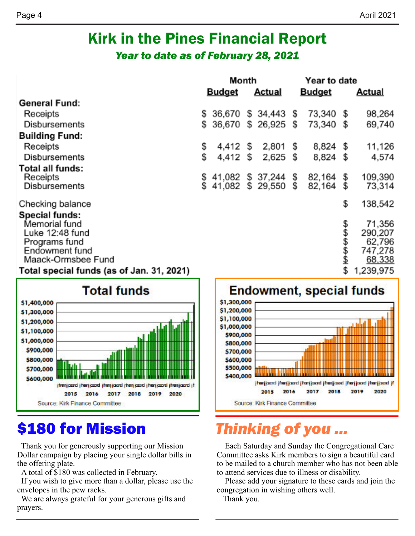### Kirk in the Pines Financial Report *Year to date as of February 28, 2021*

|                                                                                                                    | Month |                                  | Year to date        |  |                  |                  |                                                  |
|--------------------------------------------------------------------------------------------------------------------|-------|----------------------------------|---------------------|--|------------------|------------------|--------------------------------------------------|
|                                                                                                                    |       | <b>Budget</b>                    | <b>Actual</b>       |  | <b>Budget</b>    |                  | <u>Actual</u>                                    |
| <b>General Fund:</b>                                                                                               |       |                                  |                     |  |                  |                  |                                                  |
| Receipts                                                                                                           |       | \$ 36,670                        | $$34,443$ $$$       |  | 73,340 \$        |                  | 98,264                                           |
| Disbursements                                                                                                      | s     |                                  | 36,670 \$ 26,925 \$ |  | 73,340 \$        |                  | 69,740                                           |
| <b>Building Fund:</b>                                                                                              |       |                                  |                     |  |                  |                  |                                                  |
| Receipts                                                                                                           | s     | 4,412 S                          | $2,801$ \$          |  | 8,824 \$         |                  | 11,126                                           |
| Disbursements                                                                                                      | Ŝ     | 4,412 S                          | $2,625$ \$          |  | 8,824            | \$               | 4,574                                            |
| Total all funds:<br>Receipts<br>Disbursements                                                                      |       | \$41,082<br>\$41,082 \$29,550 \$ | \$ 37,244 \$        |  | 82,164<br>82,164 | \$               | 109,390<br>73,314                                |
|                                                                                                                    |       |                                  |                     |  |                  |                  |                                                  |
| Checking balance                                                                                                   |       |                                  |                     |  |                  | \$               | 138,542                                          |
| <b>Special funds:</b><br>Memorial fund<br>Luke 12:48 fund<br>Programs fund<br>Endowment fund<br>Maack-Ormsbee Fund |       |                                  |                     |  |                  | \$\$\$\$\$<br>\$ | 71,356<br>290,207<br>62,796<br>747,278<br>68,338 |
| Total special funds (as of Jan. 31, 2021)                                                                          |       |                                  |                     |  |                  |                  | 1,239,975                                        |



# \$180 for Mission

Thank you for generously supporting our Mission Dollar campaign by placing your single dollar bills in the offering plate.

A total of \$180 was collected in February.

If you wish to give more than a dollar, please use the envelopes in the pew racks.

We are always grateful for your generous gifts and prayers.

### **Endowment, special funds**



# *Thinking of you ...*

Each Saturday and Sunday the Congregational Care Committee asks Kirk members to sign a beautiful card to be mailed to a church member who has not been able to attend services due to illness or disability.

Please add your signature to these cards and join the congregation in wishing others well.

Thank you.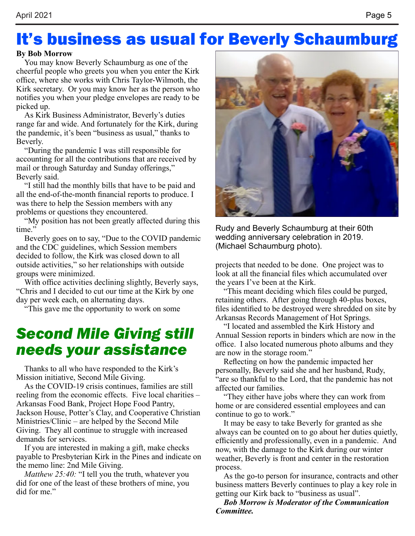# It's business as usual for Beverly Schaumburg

#### **By Bob Morrow**

You may know Beverly Schaumburg as one of the cheerful people who greets you when you enter the Kirk office, where she works with Chris Taylor-Wilmoth, the Kirk secretary. Or you may know her as the person who notifies you when your pledge envelopes are ready to be picked up.

As Kirk Business Administrator, Beverly's duties range far and wide. And fortunately for the Kirk, during the pandemic, it's been "business as usual," thanks to Beverly.

"During the pandemic I was still responsible for accounting for all the contributions that are received by mail or through Saturday and Sunday offerings," Beverly said.

"I still had the monthly bills that have to be paid and all the end-of-the-month financial reports to produce. I was there to help the Session members with any problems or questions they encountered.

"My position has not been greatly affected during this time."

Beverly goes on to say, "Due to the COVID pandemic and the CDC guidelines, which Session members decided to follow, the Kirk was closed down to all outside activities," so her relationships with outside groups were minimized.

With office activities declining slightly, Beverly says, "Chris and I decided to cut our time at the Kirk by one day per week each, on alternating days.

"This gave me the opportunity to work on some

### *Second Mile Giving still needs your assistance*

Thanks to all who have responded to the Kirk's Mission initiative, Second Mile Giving.

As the COVID-19 crisis continues, families are still reeling from the economic effects. Five local charities – Arkansas Food Bank, Project Hope Food Pantry, Jackson House, Potter's Clay, and Cooperative Christian Ministries/Clinic – are helped by the Second Mile Giving. They all continue to struggle with increased demands for services.

If you are interested in making a gift, make checks payable to Presbyterian Kirk in the Pines and indicate on the memo line: 2nd Mile Giving.

*Matthew 25:40:* "I tell you the truth, whatever you did for one of the least of these brothers of mine, you did for me"



Rudy and Beverly Schaumburg at their 60th wedding anniversary celebration in 2019. (Michael Schaumburg photo).

projects that needed to be done. One project was to look at all the financial files which accumulated over the years I've been at the Kirk.

"This meant deciding which files could be purged, retaining others. After going through 40-plus boxes, files identified to be destroyed were shredded on site by Arkansas Records Management of Hot Springs.

"I located and assembled the Kirk History and Annual Session reports in binders which are now in the office. I also located numerous photo albums and they are now in the storage room."

Reflecting on how the pandemic impacted her personally, Beverly said she and her husband, Rudy, "are so thankful to the Lord, that the pandemic has not affected our families.

"They either have jobs where they can work from home or are considered essential employees and can continue to go to work."

It may be easy to take Beverly for granted as she always can be counted on to go about her duties quietly, efficiently and professionally, even in a pandemic. And now, with the damage to the Kirk during our winter weather, Beverly is front and center in the restoration process.

As the go-to person for insurance, contracts and other business matters Beverly continues to play a key role in getting our Kirk back to "business as usual".

*Bob Morrow is Moderator of the Communication Committee.*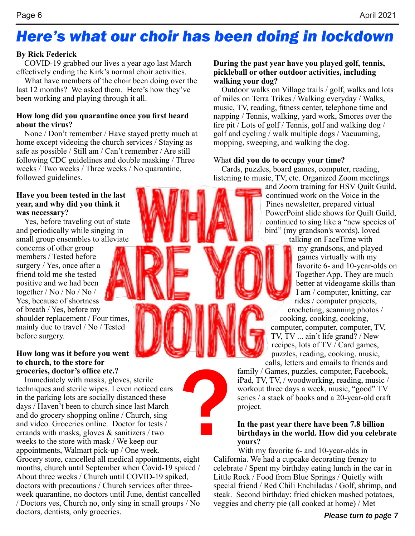# *Here's what our choir has been doing in lockdown*

#### **By Rick Federick**

COVID-19 grabbed our lives a year ago last March effectively ending the Kirk's normal choir activities.

What have members of the choir been doing over the last 12 months? We asked them. Here's how they've been working and playing through it all.

#### **How long did you quarantine once you first heard about the virus?**

None / Don't remember / Have stayed pretty much at home except videoing the church services / Staying as safe as possible / Still am / Can't remember / Are still following CDC guidelines and double masking / Three weeks / Two weeks / Three weeks / No quarantine, followed guidelines.

#### **Have you been tested in the last year, and why did you think it was necessary?**

Yes, before traveling out of state and periodically while singing in small group ensembles to alleviate

concerns of other group members / Tested before surgery / Yes, once after a friend told me she tested positive and we had been together / No / No / No / Yes, because of shortness of breath / Yes, before my shoulder replacement / Four times, mainly due to travel / No / Tested before surgery.

#### **How long was it before you went to church, to the store for groceries, doctor's office etc.?**

Immediately with masks, gloves, sterile techniques and sterile wipes. I even noticed cars in the parking lots are socially distanced these days / Haven't been to church since last March and do grocery shopping online / Church, sing and video. Groceries online. Doctor for tests / errands with masks, gloves  $\&$  sanitizers / two weeks to the store with mask / We keep our appointments, Walmart pick-up / One week. Grocery store, cancelled all medical appointments, eight months, church until September when Covid-19 spiked / About three weeks / Church until COVID-19 spiked, doctors with precautions / Church services after threeweek quarantine, no doctors until June, dentist cancelled / Doctors yes, Church no, only sing in small groups / No doctors, dentists, only groceries. ?

#### **During the past year have you played golf, tennis, pickleball or other outdoor activities, including walking your dog?**

Outdoor walks on Village trails / golf, walks and lots of miles on Terra Trikes / Walking everyday / Walks, music, TV, reading, fitness center, telephone time and napping / Tennis, walking, yard work, Smores over the fire pit / Lots of golf / Tennis, golf and walking dog / golf and cycling / walk multiple dogs / Vacuuming, mopping, sweeping, and walking the dog.

#### Wha**t did you do to occupy your time?**

Cards, puzzles, board games, computer, reading, listening to music, TV, etc. Organized Zoom meetings

and Zoom training for HSV Quilt Guild, continued work on the Voice in the Pines newsletter, prepared virtual PowerPoint slide shows for Quilt Guild, continued to sing like a "new species of bird" (my grandson's words), loved

talking on FaceTime with my grandsons, and played games virtually with my favorite 6- and 10-year-olds on Together App. They are much better at videogame skills than I am / computer, knitting, car rides / computer projects,

crocheting, scanning photos / cooking, cooking, cooking, computer, computer, computer, TV, TV, TV ... ain't life grand? / New recipes, lots of TV / Card games, puzzles, reading, cooking, music,

calls, letters and emails to friends and family / Games, puzzles, computer, Facebook, iPad, TV, TV, / woodworking, reading, music / workout three days a week, music, "good" TV series / a stack of books and a 20-year-old craft project.

#### **In the past year there have been 7.8 billion birthdays in the world. How did you celebrate yours?**

With my favorite 6- and 10-year-olds in California. We had a cupcake decorating frenzy to celebrate / Spent my birthday eating lunch in the car in Little Rock / Food from Blue Springs / Quietly with special friend / Red Chili Enchiladas / Golf, shrimp, and steak. Second birthday: fried chicken mashed potatoes, veggies and cherry pie (all cooked at home) / Met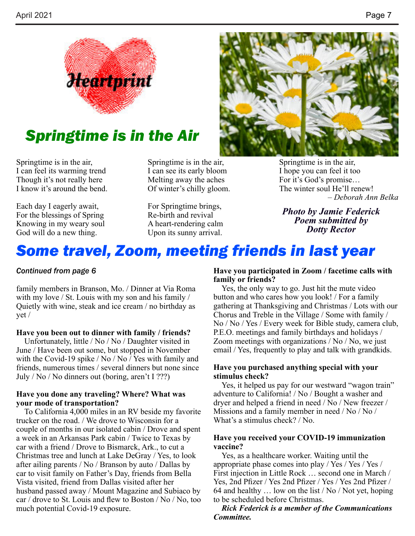

### *Springtime is in the Air*

Springtime is in the air, I can feel its warming trend Though it's not really here I know it's around the bend.

Each day I eagerly await, For the blessings of Spring Knowing in my weary soul God will do a new thing.

Springtime is in the air, I can see its early bloom Melting away the aches Of winter's chilly gloom.

For Springtime brings, Re-birth and revival A heart-rendering calm Upon its sunny arrival.



Springtime is in the air, I hope you can feel it too For it's God's promise… The winter soul He'll renew! *– Deborah Ann Belka*

*Photo by Jamie Federick Poem submitted by Dotty Rector*

### *Some travel, Zoom, meeting friends in last year*

#### *Continued from page 6*

family members in Branson, Mo. / Dinner at Via Roma with my love / St. Louis with my son and his family / Quietly with wine, steak and ice cream / no birthday as yet /

#### **Have you been out to dinner with family / friends?**

Unfortunately, little / No / No / Daughter visited in June / Have been out some, but stopped in November with the Covid-19 spike / No / No / Yes with family and friends, numerous times / several dinners but none since July / No / No dinners out (boring, aren't I ???)

#### **Have you done any traveling? Where? What was your mode of transportation?**

To California 4,000 miles in an RV beside my favorite trucker on the road. / We drove to Wisconsin for a couple of months in our isolated cabin / Drove and spent a week in an Arkansas Park cabin / Twice to Texas by car with a friend / Drove to Bismarck, Ark., to cut a Christmas tree and lunch at Lake DeGray / Yes, to look after ailing parents / No / Branson by auto / Dallas by car to visit family on Father's Day, friends from Bella Vista visited, friend from Dallas visited after her husband passed away / Mount Magazine and Subiaco by car / drove to St. Louis and flew to Boston / No / No, too much potential Covid-19 exposure.

#### **Have you participated in Zoom / facetime calls with family or friends?**

Yes, the only way to go. Just hit the mute video button and who cares how you look! / For a family gathering at Thanksgiving and Christmas / Lots with our Chorus and Treble in the Village / Some with family / No / No / Yes / Every week for Bible study, camera club, P.E.O. meetings and family birthdays and holidays / Zoom meetings with organizations / No / No, we just email / Yes, frequently to play and talk with grandkids.

#### **Have you purchased anything special with your stimulus check?**

Yes, it helped us pay for our westward "wagon train" adventure to California! / No / Bought a washer and dryer and helped a friend in need / No / New freezer / Missions and a family member in need / No / No / What's a stimulus check? / No.

#### **Have you received your COVID-19 immunization vaccine?**

Yes, as a healthcare worker. Waiting until the appropriate phase comes into play / Yes / Yes / Yes / First injection in Little Rock … second one in March / Yes, 2nd Pfizer / Yes 2nd Pfizer / Yes / Yes 2nd Pfizer / 64 and healthy … low on the list / No / Not yet, hoping to be scheduled before Christmas.

*Rick Federick is a member of the Communications Committee.*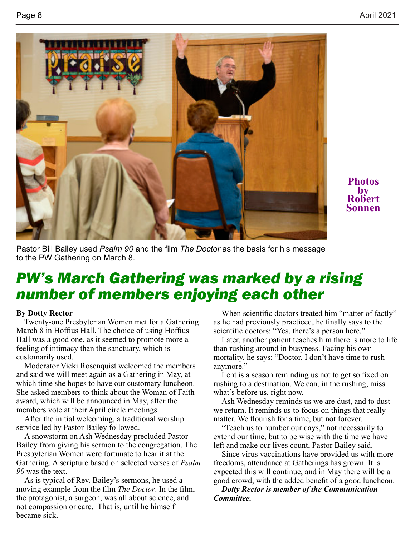

**Photos by Robert Sonnen**

Pastor Bill Bailey used *Psalm 90* and the film *The Doctor* as the basis for his message to the PW Gathering on March 8.

### *PW's March Gathering was marked by a rising number of members enjoying each other*

#### **By Dotty Rector**

Twenty-one Presbyterian Women met for a Gathering March 8 in Hoffius Hall. The choice of using Hoffius Hall was a good one, as it seemed to promote more a feeling of intimacy than the sanctuary, which is customarily used.

Moderator Vicki Rosenquist welcomed the members and said we will meet again as a Gathering in May, at which time she hopes to have our customary luncheon. She asked members to think about the Woman of Faith award, which will be announced in May, after the members vote at their April circle meetings.

After the initial welcoming, a traditional worship service led by Pastor Bailey followed.

A snowstorm on Ash Wednesday precluded Pastor Bailey from giving his sermon to the congregation. The Presbyterian Women were fortunate to hear it at the Gathering. A scripture based on selected verses of *Psalm 90* was the text.

As is typical of Rev. Bailey's sermons, he used a moving example from the film *The Doctor*. In the film, the protagonist, a surgeon, was all about science, and not compassion or care. That is, until he himself became sick.

When scientific doctors treated him "matter of factly" as he had previously practiced, he finally says to the scientific doctors: "Yes, there's a person here."

Later, another patient teaches him there is more to life than rushing around in busyness. Facing his own mortality, he says: "Doctor, I don't have time to rush anymore."

Lent is a season reminding us not to get so fixed on rushing to a destination. We can, in the rushing, miss what's before us, right now.

Ash Wednesday reminds us we are dust, and to dust we return. It reminds us to focus on things that really matter. We flourish for a time, but not forever.

"Teach us to number our days," not necessarily to extend our time, but to be wise with the time we have left and make our lives count, Pastor Bailey said.

Since virus vaccinations have provided us with more freedoms, attendance at Gatherings has grown. It is expected this will continue, and in May there will be a good crowd, with the added benefit of a good luncheon.

*Dotty Rector is member of the Communication Committee.*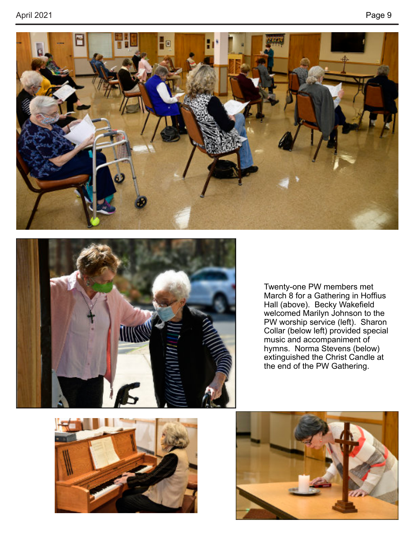



Twenty-one PW members met March 8 for a Gathering in Hoffius Hall (above). Becky Wakefield welcomed Marilyn Johnson to the PW worship service (left). Sharon Collar (below left) provided special music and accompaniment of hymns. Norma Stevens (below) extinguished the Christ Candle at the end of the PW Gathering.



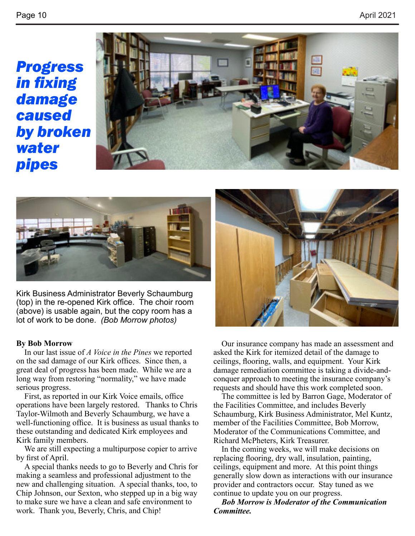*Progress in fixing damage caused by broken water pipes*





Kirk Business Administrator Beverly Schaumburg (top) in the re-opened Kirk office. The choir room (above) is usable again, but the copy room has a lot of work to be done. *(Bob Morrow photos)*

#### **By Bob Morrow**

In our last issue of *A Voice in the Pines* we reported on the sad damage of our Kirk offices. Since then, a great deal of progress has been made. While we are a long way from restoring "normality," we have made serious progress.

First, as reported in our Kirk Voice emails, office operations have been largely restored. Thanks to Chris Taylor-Wilmoth and Beverly Schaumburg, we have a well-functioning office. It is business as usual thanks to these outstanding and dedicated Kirk employees and Kirk family members.

We are still expecting a multipurpose copier to arrive by first of April.

A special thanks needs to go to Beverly and Chris for making a seamless and professional adjustment to the new and challenging situation. A special thanks, too, to Chip Johnson, our Sexton, who stepped up in a big way to make sure we have a clean and safe environment to work. Thank you, Beverly, Chris, and Chip!



Our insurance company has made an assessment and asked the Kirk for itemized detail of the damage to ceilings, flooring, walls, and equipment. Your Kirk damage remediation committee is taking a divide-andconquer approach to meeting the insurance company's requests and should have this work completed soon.

The committee is led by Barron Gage, Moderator of the Facilities Committee, and includes Beverly Schaumburg, Kirk Business Administrator, Mel Kuntz, member of the Facilities Committee, Bob Morrow, Moderator of the Communications Committee, and Richard McPheters, Kirk Treasurer.

In the coming weeks, we will make decisions on replacing flooring, dry wall, insulation, painting, ceilings, equipment and more. At this point things generally slow down as interactions with our insurance provider and contractors occur. Stay tuned as we continue to update you on our progress.

*Bob Morrow is Moderator of the Communication Committee.*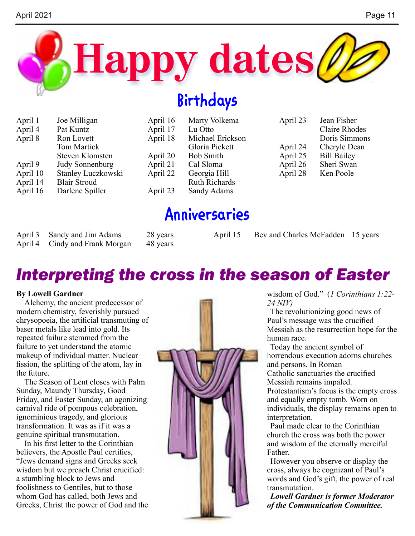

# **Birthdays**

| April 1  | Joe Milligan           | April 16 | Marty Volkema        | April 23 | Jean Fisher        |
|----------|------------------------|----------|----------------------|----------|--------------------|
| April 4  | Pat Kuntz              | April 17 | Lu Otto              |          | Claire Rhodes      |
| April 8  | Ron Lovett             | April 18 | Michael Erickson     |          | Doris Simmons      |
|          | Tom Martick            |          | Gloria Pickett       | April 24 | Cheryle Dean       |
|          | Steven Klomsten        | April 20 | <b>Bob Smith</b>     | April 25 | <b>Bill Bailey</b> |
| April 9  | <b>Judy Sonnenburg</b> | April 21 | Cal Sloma            | April 26 | Sheri Swan         |
| April 10 | Stanley Luczkowski     | April 22 | Georgia Hill         | April 28 | Ken Poole          |
| April 14 | <b>Blair Stroud</b>    |          | <b>Ruth Richards</b> |          |                    |
| April 16 | Darlene Spiller        | April 23 | Sandy Adams          |          |                    |
|          |                        |          |                      |          |                    |

# **Anniversaries**

| April 3 Sandy and Jim Adams             | 28 years | April 15 Bev and Charles McFadden 15 years |  |
|-----------------------------------------|----------|--------------------------------------------|--|
| April 4 Cindy and Frank Morgan 48 years |          |                                            |  |

# *Interpreting the cross in the season of Easter*

#### **By Lowell Gardner**

Alchemy, the ancient predecessor of modern chemistry, feverishly pursued chrysopoeia, the artificial transmuting of baser metals like lead into gold. Its repeated failure stemmed from the failure to yet understand the atomic makeup of individual matter. Nuclear fission, the splitting of the atom, lay in the future.

The Season of Lent closes with Palm Sunday, Maundy Thursday, Good Friday, and Easter Sunday, an agonizing carnival ride of pompous celebration, ignominious tragedy, and glorious transformation. It was as if it was a genuine spiritual transmutation.

In his first letter to the Corinthian believers, the Apostle Paul certifies, "Jews demand signs and Greeks seek wisdom but we preach Christ crucified: a stumbling block to Jews and foolishness to Gentiles, but to those whom God has called, both Jews and Greeks, Christ the power of God and the



wisdom of God." (*1 Corinthians 1:22- 24 NIV)*

The revolutionizing good news of Paul's message was the crucified Messiah as the resurrection hope for the human race.

Today the ancient symbol of horrendous execution adorns churches and persons. In Roman Catholic sanctuaries the crucified Messiah remains impaled. Protestantism's focus is the empty cross and equally empty tomb. Worn on individuals, the display remains open to interpretation.

Paul made clear to the Corinthian church the cross was both the power and wisdom of the eternally merciful Father.

However you observe or display the cross, always be cognizant of Paul's words and God's gift, the power of real transmutation.

*Lowell Gardner is former Moderator of the Communication Committee.*